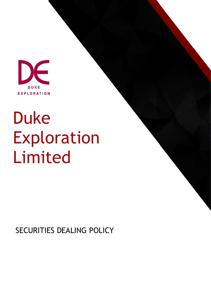

# Duke Exploration Limited

SECURITIES DEALING POLICY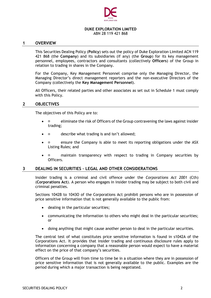

# **DUKE EXPLORATION LIMITED**

ABN 28 119 421 868

#### **1 OVERVIEW**

This Securities Dealing Policy (**Policy**) sets out the policy of Duke Exploration Limited ACN 119 421 868 (the **Company**) and its subsidiaries (if any) (the **Group**) for its key management personnel, employees, contractors and consultants (collectively **Officers**) of the Group in relation to trading in shares in the Company.

For the Company, Key Management Personnel comprise only the Managing Director, the Managing Director's direct management reporters and the non-executive Directors of the Company (collectively the **Key Management Personnel**).

All Officers, their related parties and other associates as set out in Schedule 1 must comply with this Policy.

#### **2 OBJECTIVES**

The objectives of this Policy are to:

- $\bullet$   $\Box$  eliminate the risk of Officers of the Group contravening the laws against insider trading;
- $\bullet$   $\Box$  describe what trading is and isn't allowed;
- **a** ensure the Company is able to meet its reporting obligations under the ASX Listing Rules; and
- maintain transparency with respect to trading in Company securities by Officers.

#### **3 DEALING IN SECURITIES – LEGAL AND OTHER CONSIDERATIONS**

Insider trading is a criminal and civil offence under the *Corporations Act 2001* (Cth) (**Corporations Act**). A person who engages in insider trading may be subject to both civil and criminal penalties.

Sections 1042B to 1043O of the Corporations Act prohibit persons who are in possession of price sensitive information that is not generally available to the public from:

- dealing in the particular securities;
- communicating the information to others who might deal in the particular securities; or
- doing anything that might cause another person to deal in the particular securities.

The central test of what constitutes price sensitive information is found in s1042A of the Corporations Act. It provides that insider trading and continuous disclosure rules apply to information concerning a company that a reasonable person would expect to have a material effect on the price of that company's securities.

Officers of the Group will from time to time be in a situation where they are in possession of price sensitive information that is not generally available to the public. Examples are the period during which a major transaction is being negotiated.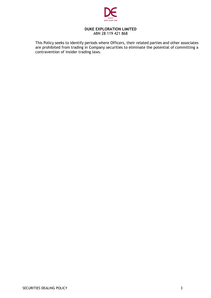

#### **DUKE EXPLORATION LIMITED** ABN 28 119 421 868

This Policy seeks to identify periods where Officers, their related parties and other associates are prohibited from trading in Company securities to eliminate the potential of committing a contravention of insider trading laws.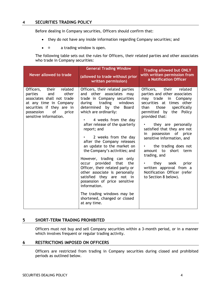# **4 SECURITIES TRADING POLICY**

Before dealing in Company securities, Officers should confirm that:

- they do not have any inside information regarding Company securities; and
- $\bullet$  **a** trading window is open.

The following table sets out the rules for Officers, their related parties and other associates who trade in Company securities:

| Never allowed to trade                                                                                                                                                                            | <b>General Trading Window</b><br>(allowed to trade without prior<br>written permission)                                                                                                                                                                                                                                                                                                                                                                                                                                                                                                                                                                                                                         | <b>Trading allowed but ONLY</b><br>with written permission from<br>a Notification Officer                                                                                                                                                                                                                                                                                                                                                                                                 |
|---------------------------------------------------------------------------------------------------------------------------------------------------------------------------------------------------|-----------------------------------------------------------------------------------------------------------------------------------------------------------------------------------------------------------------------------------------------------------------------------------------------------------------------------------------------------------------------------------------------------------------------------------------------------------------------------------------------------------------------------------------------------------------------------------------------------------------------------------------------------------------------------------------------------------------|-------------------------------------------------------------------------------------------------------------------------------------------------------------------------------------------------------------------------------------------------------------------------------------------------------------------------------------------------------------------------------------------------------------------------------------------------------------------------------------------|
| Officers,<br>their related<br>other<br>parties<br>and<br>associates shall not trade<br>at any time in Company<br>securities if they are in<br>possession<br>of<br>price<br>sensitive information. | Officers, their related parties<br>and other associates may<br>trade in Company securities<br>during trading windows<br>determined by the<br><b>Board</b><br>which are ordinarily:<br>4 weeks from the day<br>$\bullet$ . The set of $\bullet$<br>after release of the quarterly<br>report; and<br>2 weeks from the day<br>after the Company releases<br>an update to the market on<br>the Company's activities; and<br>However, trading can only<br>occur provided that<br>the<br>Officer, their related party or<br>other associate is personally<br>satisfied they are not in<br>possession of price sensitive<br>information.<br>The trading windows may be<br>shortened, changed or closed<br>at any time. | Officers, their related<br>parties and other associates<br>may trade<br>in Company<br>securities at times other<br>specifically<br>those<br>than<br>permitted by the<br>Policy<br>provided that:<br>they are personally<br>satisfied that they are not<br>possession of price<br>in<br>sensitive information, and<br>the trading does not<br>amount to short term<br>trading, and<br>they seek<br>prior<br>written approval from a<br>Notification Officer (refer<br>to Section 8 below). |

### **5 SHORT-TERM TRADING PROHIBITED**

Officers must not buy and sell Company securities within a 3-month period, or in a manner which involves frequent or regular trading activity.

#### **6 RESTRICTIONS IMPOSED ON OFFICERS**

Officers are restricted from trading in Company securities during closed and prohibited periods as outlined below.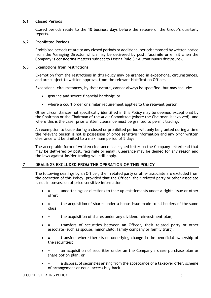#### **6.1 Closed Periods**

Closed periods relate to the 10 business days before the release of the Group's quarterly reports.

#### **6.2 Prohibited Periods**

Prohibited periods relate to any closed periods or additional periods imposed by written notice from the Managing Director which may be delivered by post, facsimile or email when the Company is considering matters subject to Listing Rule 3.1A (continuous disclosure).

#### **6.3 Exemptions from restrictions**

Exemption from the restrictions in this Policy may be granted in exceptional circumstances, and are subject to written approval from the relevant Notification Officer.

Exceptional circumstances, by their nature, cannot always be specified, but may include:

- genuine and severe financial hardship; or
- where a court order or similar requirement applies to the relevant person.

Other circumstances not specifically identified in this Policy may be deemed exceptional by the Chairman or the Chairman of the Audit Committee (where the Chairman is involved), and where this is the case, prior written clearance must be granted to permit trading.

An exemption to trade during a closed or prohibited period will only be granted during a time the relevant person is not is possession of price sensitive information and any prior written clearance will be limited to a maximum period of 5 days.

The acceptable form of written clearance is a signed letter on the Company letterhead that may be delivered by post, facsimile or email. Clearance may be denied for any reason and the laws against insider trading will still apply.

### **7 DEALINGS EXCLUDED FROM THE OPERATION OF THIS POLICY**

The following dealings by an Officer, their related party or other associate are excluded from the operation of this Policy, provided that the Officer, their related party or other associate is not in possession of price sensitive information:

- $\Box$  undertakings or elections to take up entitlements under a rights issue or other offer;
- the acquisition of shares under a bonus issue made to all holders of the same class;
- $\Box$  the acquisition of shares under any dividend reinvestment plan;
- **I** transfers of securities between an Officer, their related party or other associate (such as spouse, minor child, family company or family trust);
- transfers where there is no underlying change in the beneficial ownership of the securities;
- an acquisition of securities under an the Company's share purchase plan or share option plan; or
- **a** disposal of securities arising from the acceptance of a takeover offer, scheme of arrangement or equal access buy-back.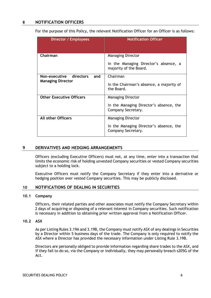## **8 NOTIFICATION OFFICERS**

For the purpose of this Policy, the relevant Notification Officer for an Officer is as follows:

| Director / Employees                                          | <b>Notification Officer</b>                                                                 |
|---------------------------------------------------------------|---------------------------------------------------------------------------------------------|
| Chairman                                                      | <b>Managing Director</b><br>In the Managing Director's absence, a<br>majority of the Board. |
| Non-executive<br>directors<br>and<br><b>Managing Director</b> | Chairman<br>In the Chairman's absence, a majority of<br>the Board.                          |
| <b>Other Executive Officers</b>                               | <b>Managing Director</b><br>In the Managing Director's absence, the<br>Company Secretary.   |
| <b>All other Officers</b>                                     | <b>Managing Director</b><br>In the Managing Director's absence, the<br>Company Secretary.   |

#### **9 DERIVATIVES AND HEDGING ARRANGEMENTS**

Officers (excluding Executive Officers) must not, at any time, enter into a transaction that limits the economic risk of holding unvested Company securities or vested Company securities subject to a holding lock.

Executive Officers must notify the Company Secretary if they enter into a derivative or hedging position over vested Company securities. This may be publicly disclosed.

#### **10 NOTIFICATIONS OF DEALING IN SECURITIES**

#### **10.1 Company**

Officers, their related parties and other associates must notify the Company Secretary within 2 days of acquiring or disposing of a relevant interest in Company securities. Such notification is necessary in addition to obtaining prior written approval from a Notification Officer.

#### **10.2 ASX**

As per Listing Rules 3.19A and 3.19B, the Company must notify ASX of any dealings in Securities by a Director within 5 business days of the trade. The Company is only required to notify the ASX where a Director has provided the necessary information under Listing Rule 3.19B.

Directors are personally obliged to provide information regarding share trades to the ASX, and if they fail to do so, via the Company or individually, they may personally breach s205G of the Act.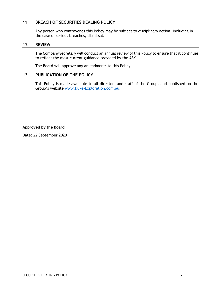### **11 BREACH OF SECURITIES DEALING POLICY**

Any person who contravenes this Policy may be subject to disciplinary action, including in the case of serious breaches, dismissal.

#### **12 REVIEW**

The Company Secretary will conduct an annual review of this Policy to ensure that it continues to reflect the most current guidance provided by the ASX.

The Board will approve any amendments to this Policy

#### **13 PUBLICATION OF THE POLICY**

This Policy is made available to all directors and staff of the Group, and published on the Group's website [www.Duke-Exploration.com.au.](http://www.duke-exploration.com.au/)

**Approved by the Board**

Date: 22 September 2020